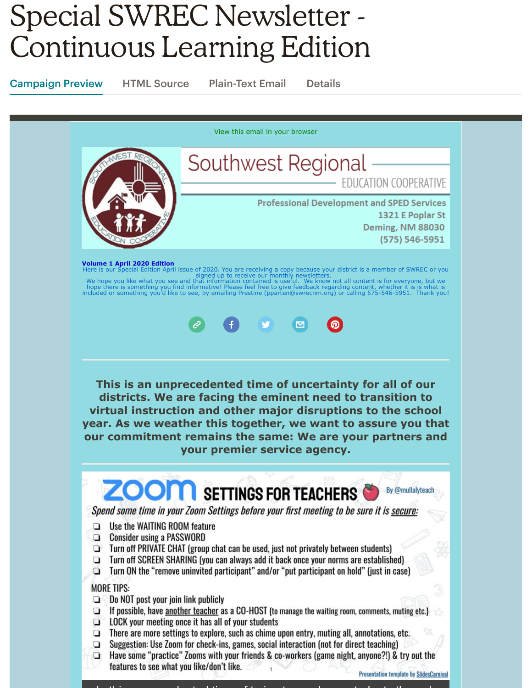# Special SWREC Newsletter - Continuous Learning Edition

Campaign Preview HTML Source Plain-Text Email Details

[View this email in your browser](https://mailchi.mp/swrecnm.org/special-edition-continuous-learning-with-swrec?e=[UNIQID]) Southwest Regional EDUCATION COOPERATIVE **Professional Development and SPED Services** 1321 E Poplar St **Deming, NM 88030** (575) 546-5951 **Volume 1 April 2020 Edition** ipecial Edition April issue of 2020. You are receiving a copy because your district is a member of SWREC or you signed up to receive our monthly newsletters.<br>We hope you like what you see and that information contained is useful. We know not all content is for everyone, but we<br>hope there is something you find informative! Please fee  $\Box$ **This is an unprecedented time of uncertainty for all of our districts. We are facing the eminent need to transition to virtual instruction and other major disruptions to the school year. As we weather this together, we want to assure you that our commitment remains the same: We are your partners and your premier service agency. ZOOM** SETTINGS FOR TEACHERS By @mullalyteach Spend some time in your Zoom Settings before your first meeting to be sure it is secure:  $\Box$  Use the WAITING ROOM feature  $\Box$  Consider using a PASSWORD  $\Box$  Turn off PRIVATE CHAT (group chat can be used, just not privately between students)  $\Box$  Turn off SCREEN SHARING (you can always add it back once your norms are established) Turn ON the "remove uninvited participant" and/or "put participant on hold" (just in case) o **MORE TIPS:**  $\Box$  Do NOT post your join link publicly  $\Box$  If possible, have another teacher as a CO-HOST {to manage the waiting room, comments, muting etc.}  $\Box$  LOCK your meeting once it has all of your students  $\Box$  There are more settings to explore, such as chime upon entry, muting all, annotations, etc.  $\Box$  Suggestion: Use Zoom for check-ins, games, social interaction (not for direct teaching) Have some "practice" Zooms with your friends & co-workers (game night, anyone?!) & try out the O features to see what you like/don't like.

I thi d t d ti f t i t h t d t th h

**Presentation template by SlidesCarnival**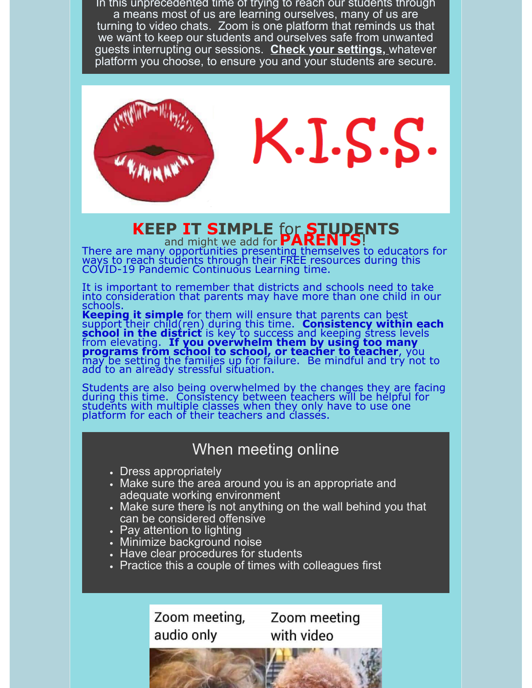In this unprecedented time of trying to reach our students through a means most of us are learning ourselves, many of us are turning to video chats. Zoom is one platform that reminds us that we want to keep our students and ourselves safe from unwanted guests interrupting our sessions. **Check your settings,** whatever platform you choose, to ensure you and your students are secure.



 $K.I.S.S.$ 

## **KEEP IT SIMPLE** for **STUDENTS** and might we add for **PARENTS**!

There are many opportunities presenting themselves to educators for ways to reach students through their FREE resources during this COVID-19 Pandemic Continuous Learning time.

It is important to remember that districts and schools need to take into consideration that parents may have more than one child in our schools.

**Keeping it simple** for them will ensure that parents can best support their child(ren) during this time. **Consistency within each school in the district** is key to success and keeping stress levels from elevating. **If you overwhelm them by using too many programs from school to school, or teacher to teacher**, you may be setting the families up for failure. Be mindful and try not to add to an already stressful situation.

Students are also being overwhelmed by the changes they are facing during this time. Consistency between teachers will be helpful for students with multiple classes when they only have to use one platform for each of their teachers and classes.

# When meeting online

- Dress appropriately
- Make sure the area around you is an appropriate and adequate working environment
- Make sure there is not anything on the wall behind you that can be considered offensive
- Pay attention to lighting
- Minimize background noise
- Have clear procedures for students
- Practice this a couple of times with colleagues first

Zoom meeting, audio only

Zoom meeting with video

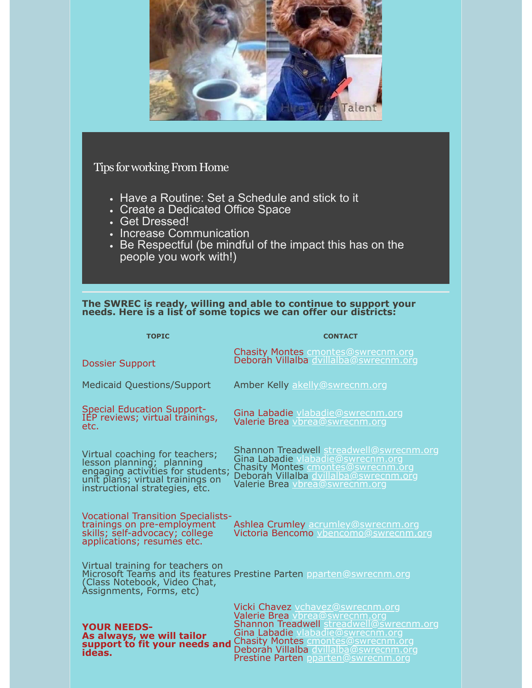

### Tips for working From Home

- Have a Routine: Set a Schedule and stick to it
- Create a Dedicated Office Space
- Get Dressed!
- Increase Communication
- Be Respectful (be mindful of the impact this has on the people you work with!)

#### **The SWREC is ready, willing and able to continue to support your needs. Here is a list of some topics we can offer our districts:**

| <b>TOPIC</b>                                                                                                                                                           | <b>CONTACT</b>                                                                                                                                                                                                                                                                    |
|------------------------------------------------------------------------------------------------------------------------------------------------------------------------|-----------------------------------------------------------------------------------------------------------------------------------------------------------------------------------------------------------------------------------------------------------------------------------|
| <b>Dossier Support</b>                                                                                                                                                 | Chasity Montes cmontes@swrecnm.org<br>Deborah Villalba dvillalba@swrecnm.org                                                                                                                                                                                                      |
| <b>Medicaid Questions/Support</b>                                                                                                                                      | Amber Kelly akelly@swrecnm.org                                                                                                                                                                                                                                                    |
| <b>Special Education Support-</b><br>IEP reviews; virtual trainings,<br>etc.                                                                                           | Gina Labadie vlabadie@swrecnm.org<br>Valerie Brea vbrea@swrecnm.org                                                                                                                                                                                                               |
| Virtual coaching for teachers;<br>lesson planning; planning<br>engaging activities for students;<br>unit plans; virtual trainings on<br>instructional strategies, etc. | Shannon Treadwell streadwell@swrecnm.org<br>Gina Labadie vlabadie@swrecnm.org<br>Chasity Montes cmontes@swrecnm.org<br>Deborah Villalba dvillalba@swrecnm.org<br>Valerie Brea vbrea@swrecnm.org                                                                                   |
| <b>Vocational Transition Specialists-</b><br>trainings on pre-employment<br>skills; self-advocacy; cóllege<br>applications; resumes etc.                               | Ashlea Crumley acrumley@swrecnm.org<br>Victoria Bencomo vbencomo@swrecnm.org                                                                                                                                                                                                      |
| Virtual training for teachers on<br>(Class Notebook, Video Chat,<br>Assignments, Forms, etc)                                                                           | Microsoft Teams and its features Prestine Parten pparten@swrecnm.org                                                                                                                                                                                                              |
| <b>YOUR NEEDS-</b><br>As always, we will tailor<br>support to fit your needs and<br>ideas.                                                                             | Vicki Chavez vchavez@swrecnm.org<br>Valerie Brea vbrea@swrecnm.org<br>Shannon Treadwell streadwell@swrecnm.org<br>Gina Labadie vlabadie@swrecnm.org<br><b>Chasity Montes cmontes@swrecnm.org</b><br>Deboráh Villalba dvillalba@swrecnm.org<br>Prestine Parten pparten@swrecnm.org |